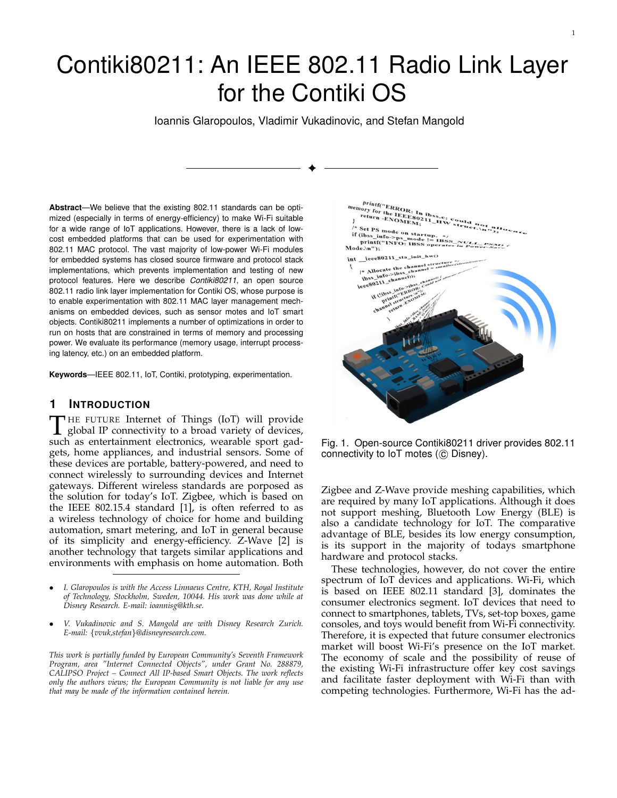# Contiki80211: An IEEE 802.11 Radio Link Layer for the Contiki OS

Ioannis Glaropoulos, Vladimir Vukadinovic, and Stefan Mangold

✦

**Abstract**—We believe that the existing 802.11 standards can be optimized (especially in terms of energy-efficiency) to make Wi-Fi suitable for a wide range of IoT applications. However, there is a lack of lowcost embedded platforms that can be used for experimentation with 802.11 MAC protocol. The vast majority of low-power Wi-Fi modules for embedded systems has closed source firmware and protocol stack implementations, which prevents implementation and testing of new protocol features. Here we describe *Contiki80211*, an open source 802.11 radio link layer implementation for Contiki OS, whose purpose is to enable experimentation with 802.11 MAC layer management mechanisms on embedded devices, such as sensor motes and IoT smart objects. Contiki80211 implements a number of optimizations in order to run on hosts that are constrained in terms of memory and processing power. We evaluate its performance (memory usage, interrupt processing latency, etc.) on an embedded platform.

**Keywords**—IEEE 802.11, IoT, Contiki, prototyping, experimentation.

## **1 INTRODUCTION**

THE FUTURE Internet of Things (IoT) will provide<br>global IP connectivity to a broad variety of devices,<br>such as entertainment electronics, wearable sport gad-THE FUTURE Internet of Things (IoT) will provide such as entertainment electronics, wearable sport gadgets, home appliances, and industrial sensors. Some of these devices are portable, battery-powered, and need to connect wirelessly to surrounding devices and Internet gateways. Different wireless standards are porposed as the solution for today's IoT. Zigbee, which is based on the IEEE 802.15.4 standard [1], is often referred to as a wireless technology of choice for home and building automation, smart metering, and IoT in general because of its simplicity and energy-efficiency. Z-Wave [2] is another technology that targets similar applications and environments with emphasis on home automation. Both

- *I. Glaropoulos is with the Access Linnaeus Centre, KTH, Royal Institute of Technology, Stockholm, Sweden, 10044. His work was done while at Disney Research. E-mail: ioannisg@kth.se.*
- *V. Vukadinovic and S. Mangold are with Disney Research Zurich. E-mail:* {*vvuk,stefan*}*@disneyresearch.com.*

*This work is partially funded by European Community's Seventh Framework Program, area "Internet Connected Objects", under Grant No. 288879, CALIPSO Project – Connect All IP-based Smart Objects. The work reflects only the authors views; the European Community is not liable for any use that may be made of the information contained herein.*



1

Fig. 1. Open-source Contiki80211 driver provides 802.11 connectivity to IoT motes (C Disney).

Zigbee and Z-Wave provide meshing capabilities, which are required by many IoT applications. Although it does not support meshing, Bluetooth Low Energy (BLE) is also a candidate technology for IoT. The comparative advantage of BLE, besides its low energy consumption, is its support in the majority of todays smartphone hardware and protocol stacks.

These technologies, however, do not cover the entire spectrum of IoT devices and applications. Wi-Fi, which is based on IEEE 802.11 standard [3], dominates the consumer electronics segment. IoT devices that need to connect to smartphones, tablets, TVs, set-top boxes, game consoles, and toys would benefit from Wi-Fi connectivity. Therefore, it is expected that future consumer electronics market will boost Wi-Fi's presence on the IoT market. The economy of scale and the possibility of reuse of the existing Wi-Fi infrastructure offer key cost savings and facilitate faster deployment with Wi-Fi than with competing technologies. Furthermore, Wi-Fi has the ad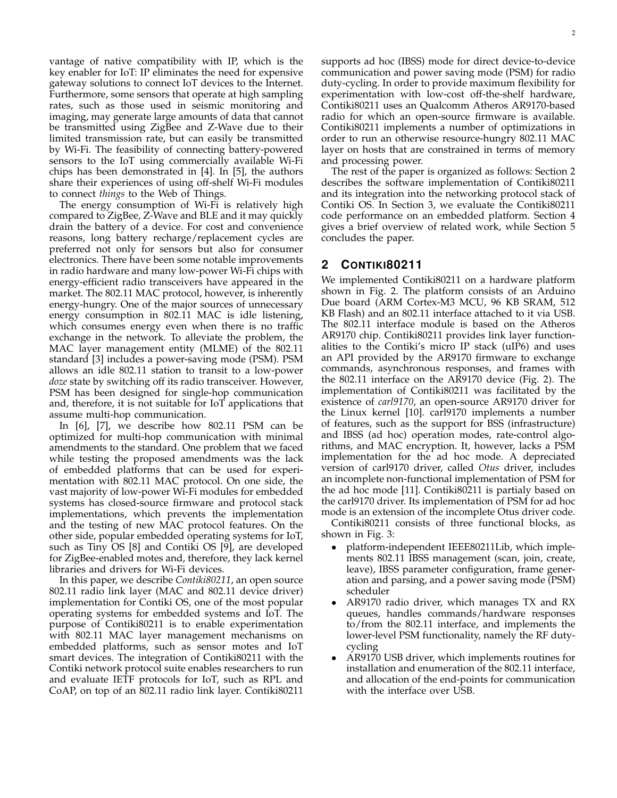vantage of native compatibility with IP, which is the key enabler for IoT: IP eliminates the need for expensive gateway solutions to connect IoT devices to the Internet. Furthermore, some sensors that operate at high sampling rates, such as those used in seismic monitoring and imaging, may generate large amounts of data that cannot be transmitted using ZigBee and Z-Wave due to their limited transmission rate, but can easily be transmitted by Wi-Fi. The feasibility of connecting battery-powered sensors to the IoT using commercially available Wi-Fi chips has been demonstrated in [4]. In [5], the authors share their experiences of using off-shelf Wi-Fi modules to connect *things* to the Web of Things.

The energy consumption of Wi-Fi is relatively high compared to ZigBee, Z-Wave and BLE and it may quickly drain the battery of a device. For cost and convenience reasons, long battery recharge/replacement cycles are preferred not only for sensors but also for consumer electronics. There have been some notable improvements in radio hardware and many low-power Wi-Fi chips with energy-efficient radio transceivers have appeared in the market. The 802.11 MAC protocol, however, is inherently energy-hungry. One of the major sources of unnecessary energy consumption in 802.11 MAC is idle listening, which consumes energy even when there is no traffic exchange in the network. To alleviate the problem, the MAC layer management entity (MLME) of the 802.11 standard [3] includes a power-saving mode (PSM). PSM allows an idle 802.11 station to transit to a low-power *doze* state by switching off its radio transceiver. However, PSM has been designed for single-hop communication and, therefore, it is not suitable for IoT applications that assume multi-hop communication.

In [6], [7], we describe how 802.11 PSM can be optimized for multi-hop communication with minimal amendments to the standard. One problem that we faced while testing the proposed amendments was the lack of embedded platforms that can be used for experimentation with 802.11 MAC protocol. On one side, the vast majority of low-power Wi-Fi modules for embedded systems has closed-source firmware and protocol stack implementations, which prevents the implementation and the testing of new MAC protocol features. On the other side, popular embedded operating systems for IoT, such as Tiny OS [8] and Contiki OS [9], are developed for ZigBee-enabled motes and, therefore, they lack kernel libraries and drivers for Wi-Fi devices.

In this paper, we describe *Contiki80211*, an open source 802.11 radio link layer (MAC and 802.11 device driver) implementation for Contiki OS, one of the most popular operating systems for embedded systems and IoT. The purpose of Contiki80211 is to enable experimentation with 802.11 MAC layer management mechanisms on embedded platforms, such as sensor motes and IoT smart devices. The integration of Contiki80211 with the Contiki network protocol suite enables researchers to run and evaluate IETF protocols for IoT, such as RPL and CoAP, on top of an 802.11 radio link layer. Contiki80211

supports ad hoc (IBSS) mode for direct device-to-device communication and power saving mode (PSM) for radio duty-cycling. In order to provide maximum flexibility for experimentation with low-cost off-the-shelf hardware, Contiki80211 uses an Qualcomm Atheros AR9170-based radio for which an open-source firmware is available. Contiki80211 implements a number of optimizations in order to run an otherwise resource-hungry 802.11 MAC layer on hosts that are constrained in terms of memory and processing power.

The rest of the paper is organized as follows: Section 2 describes the software implementation of Contiki80211 and its integration into the networking protocol stack of Contiki OS. In Section 3, we evaluate the Contiki80211 code performance on an embedded platform. Section 4 gives a brief overview of related work, while Section 5 concludes the paper.

# **2 CONTIKI80211**

We implemented Contiki80211 on a hardware platform shown in Fig. 2. The platform consists of an Arduino Due board (ARM Cortex-M3 MCU, 96 KB SRAM, 512 KB Flash) and an 802.11 interface attached to it via USB. The 802.11 interface module is based on the Atheros AR9170 chip. Contiki80211 provides link layer functionalities to the Contiki's micro IP stack (uIP6) and uses an API provided by the AR9170 firmware to exchange commands, asynchronous responses, and frames with the 802.11 interface on the AR9170 device (Fig. 2). The implementation of Contiki80211 was facilitated by the existence of *carl9170*, an open-source AR9170 driver for the Linux kernel [10]. carl9170 implements a number of features, such as the support for BSS (infrastructure) and IBSS (ad hoc) operation modes, rate-control algorithms, and MAC encryption. It, however, lacks a PSM implementation for the ad hoc mode. A depreciated version of carl9170 driver, called *Otus* driver, includes an incomplete non-functional implementation of PSM for the ad hoc mode [11]. Contiki80211 is partialy based on the carl9170 driver. Its implementation of PSM for ad hoc mode is an extension of the incomplete Otus driver code. Contiki80211 consists of three functional blocks, as

shown in Fig. 3:

- platform-independent IEEE80211Lib, which implements 802.11 IBSS management (scan, join, create, leave), IBSS parameter configuration, frame generation and parsing, and a power saving mode (PSM) scheduler
- AR9170 radio driver, which manages TX and RX queues, handles commands/hardware responses to/from the 802.11 interface, and implements the lower-level PSM functionality, namely the RF dutycycling
- AR9170 USB driver, which implements routines for installation and enumeration of the 802.11 interface, and allocation of the end-points for communication with the interface over USB.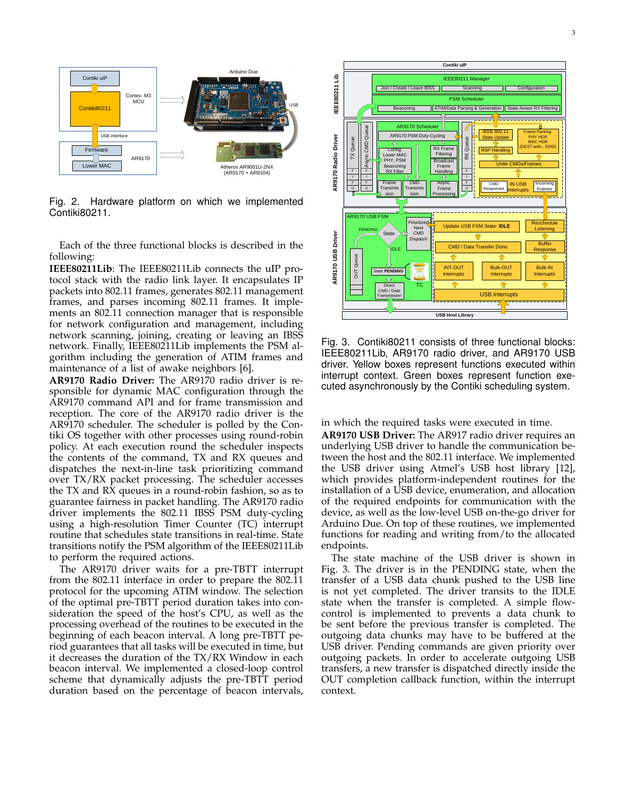

Fig. 2. Hardware platform on which we implemented Contiki80211.

Each of the three functional blocks is described in the following:

**IEEE80211Lib**: The IEEE80211Lib connects the uIP protocol stack with the radio link layer. It encapsulates IP packets into 802.11 frames, generates 802.11 management frames, and parses incoming 802.11 frames. It implements an 802.11 connection manager that is responsible for network configuration and management, including network scanning, joining, creating or leaving an IBSS network. Finally, IEEE80211Lib implements the PSM algorithm including the generation of ATIM frames and maintenance of a list of awake neighbors [6].

**AR9170 Radio Driver:** The AR9170 radio driver is responsible for dynamic MAC configuration through the AR9170 command API and for frame transmission and reception. The core of the AR9170 radio driver is the AR9170 scheduler. The scheduler is polled by the Contiki OS together with other processes using round-robin policy. At each execution round the scheduler inspects the contents of the command, TX and RX queues and dispatches the next-in-line task prioritizing command over TX/RX packet processing. The scheduler accesses the TX and RX queues in a round-robin fashion, so as to guarantee fairness in packet handling. The AR9170 radio driver implements the 802.11 IBSS PSM duty-cycling using a high-resolution Timer Counter (TC) interrupt routine that schedules state transitions in real-time. State transitions notify the PSM algorithm of the IEEE80211Lib to perform the required actions.

The AR9170 driver waits for a pre-TBTT interrupt from the 802.11 interface in order to prepare the 802.11 protocol for the upcoming ATIM window. The selection of the optimal pre-TBTT period duration takes into consideration the speed of the host's CPU, as well as the processing overhead of the routines to be executed in the beginning of each beacon interval. A long pre-TBTT period guarantees that all tasks will be executed in time, but it decreases the duration of the TX/RX Window in each beacon interval. We implemented a closed-loop control scheme that dynamically adjusts the pre-TBTT period duration based on the percentage of beacon intervals,



Fig. 3. Contiki80211 consists of three functional blocks: IEEE80211Lib, AR9170 radio driver, and AR9170 USB driver. Yellow boxes represent functions executed within interrupt context. Green boxes represent function executed asynchronously by the Contiki scheduling system.

in which the required tasks were executed in time.

**AR9170 USB Driver:** The AR917 radio driver requires an underlying USB driver to handle the communication between the host and the 802.11 interface. We implemented the USB driver using Atmel's USB host library [12], which provides platform-independent routines for the installation of a USB device, enumeration, and allocation of the required endpoints for communication with the device, as well as the low-level USB on-the-go driver for Arduino Due. On top of these routines, we implemented functions for reading and writing from/to the allocated endpoints.

The state machine of the USB driver is shown in Fig. 3. The driver is in the PENDING state, when the transfer of a USB data chunk pushed to the USB line is not yet completed. The driver transits to the IDLE state when the transfer is completed. A simple flowcontrol is implemented to prevents a data chunk to be sent before the previous transfer is completed. The outgoing data chunks may have to be buffered at the USB driver. Pending commands are given priority over outgoing packets. In order to accelerate outgoing USB transfers, a new transfer is dispatched directly inside the OUT completion callback function, within the interrupt context.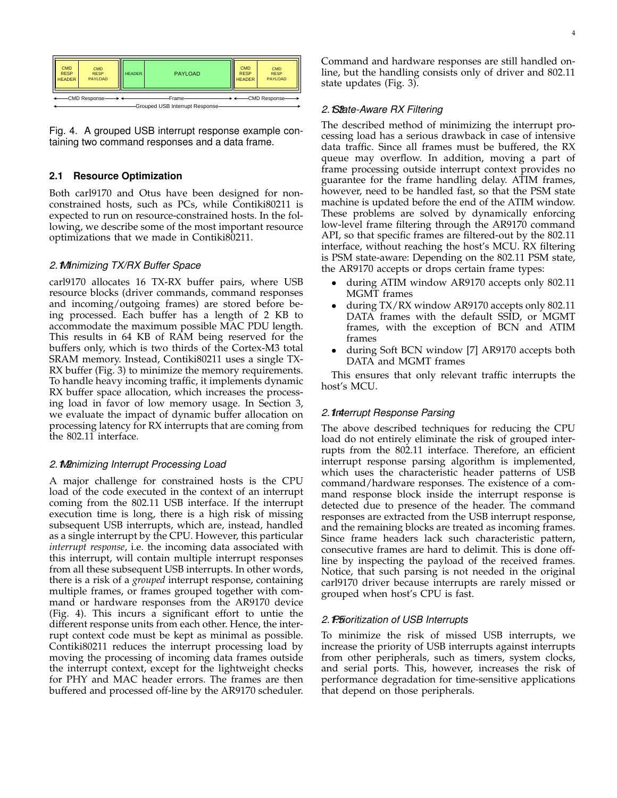

Fig. 4. A grouped USB interrupt response example containing two command responses and a data frame.

## **2.1 Resource Optimization**

Both carl9170 and Otus have been designed for nonconstrained hosts, such as PCs, while Contiki80211 is expected to run on resource-constrained hosts. In the following, we describe some of the most important resource optimizations that we made in Contiki80211.

## *2.1.1Minimizing TX/RX Buffer Space*

carl9170 allocates 16 TX-RX buffer pairs, where USB resource blocks (driver commands, command responses and incoming/outgoing frames) are stored before being processed. Each buffer has a length of 2 KB to accommodate the maximum possible MAC PDU length. This results in 64 KB of RAM being reserved for the buffers only, which is two thirds of the Cortex-M3 total SRAM memory. Instead, Contiki80211 uses a single TX-RX buffer (Fig. 3) to minimize the memory requirements. To handle heavy incoming traffic, it implements dynamic RX buffer space allocation, which increases the processing load in favor of low memory usage. In Section 3, we evaluate the impact of dynamic buffer allocation on processing latency for RX interrupts that are coming from the 802.11 interface.

#### *2.1.2Minimizing Interrupt Processing Load*

A major challenge for constrained hosts is the CPU load of the code executed in the context of an interrupt coming from the 802.11 USB interface. If the interrupt execution time is long, there is a high risk of missing subsequent USB interrupts, which are, instead, handled as a single interrupt by the CPU. However, this particular *interrupt response*, i.e. the incoming data associated with this interrupt, will contain multiple interrupt responses from all these subsequent USB interrupts. In other words, there is a risk of a *grouped* interrupt response, containing multiple frames, or frames grouped together with command or hardware responses from the AR9170 device (Fig. 4). This incurs a significant effort to untie the different response units from each other. Hence, the interrupt context code must be kept as minimal as possible. Contiki80211 reduces the interrupt processing load by moving the processing of incoming data frames outside the interrupt context, except for the lightweight checks for PHY and MAC header errors. The frames are then buffered and processed off-line by the AR9170 scheduler.

## *2.1.3State-Aware RX Filtering*

The described method of minimizing the interrupt processing load has a serious drawback in case of intensive data traffic. Since all frames must be buffered, the RX queue may overflow. In addition, moving a part of frame processing outside interrupt context provides no guarantee for the frame handling delay. ATIM frames, however, need to be handled fast, so that the PSM state machine is updated before the end of the ATIM window. These problems are solved by dynamically enforcing low-level frame filtering through the AR9170 command API, so that specific frames are filtered-out by the 802.11 interface, without reaching the host's MCU. RX filtering is PSM state-aware: Depending on the 802.11 PSM state, the AR9170 accepts or drops certain frame types:

- during ATIM window AR9170 accepts only 802.11 MGMT frames
- during TX/RX window AR9170 accepts only 802.11 DATA frames with the default SSID, or MGMT frames, with the exception of BCN and ATIM frames
- during Soft BCN window [7] AR9170 accepts both DATA and MGMT frames

This ensures that only relevant traffic interrupts the host's MCU.

## *2.1.4Interrupt Response Parsing*

The above described techniques for reducing the CPU load do not entirely eliminate the risk of grouped interrupts from the 802.11 interface. Therefore, an efficient interrupt response parsing algorithm is implemented, which uses the characteristic header patterns of USB command/hardware responses. The existence of a command response block inside the interrupt response is detected due to presence of the header. The command responses are extracted from the USB interrupt response, and the remaining blocks are treated as incoming frames. Since frame headers lack such characteristic pattern, consecutive frames are hard to delimit. This is done offline by inspecting the payload of the received frames. Notice, that such parsing is not needed in the original carl9170 driver because interrupts are rarely missed or grouped when host's CPU is fast.

## 2. P.5ioritization of USB Interrupts

To minimize the risk of missed USB interrupts, we increase the priority of USB interrupts against interrupts from other peripherals, such as timers, system clocks, and serial ports. This, however, increases the risk of performance degradation for time-sensitive applications that depend on those peripherals.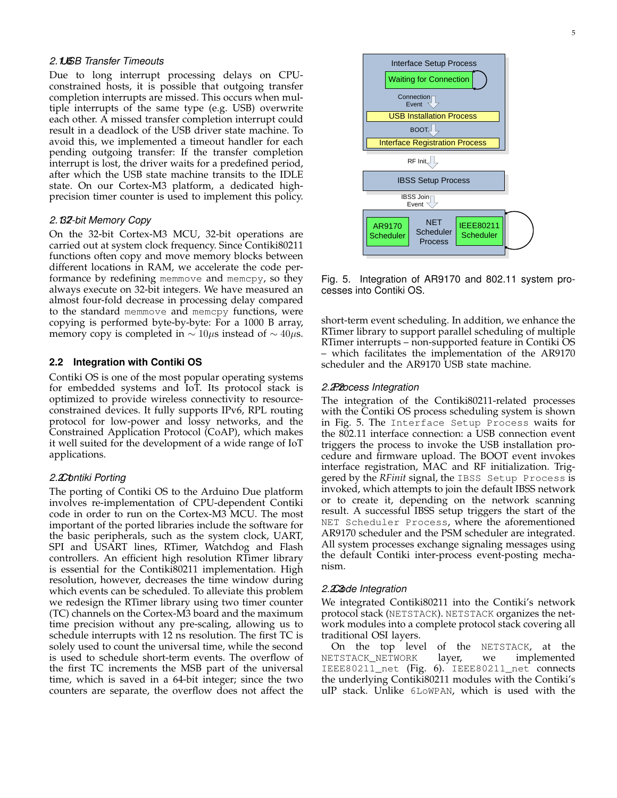#### *2.1.6USB Transfer Timeouts*

Due to long interrupt processing delays on CPUconstrained hosts, it is possible that outgoing transfer completion interrupts are missed. This occurs when multiple interrupts of the same type (e.g. USB) overwrite each other. A missed transfer completion interrupt could result in a deadlock of the USB driver state machine. To avoid this, we implemented a timeout handler for each pending outgoing transfer: If the transfer completion interrupt is lost, the driver waits for a predefined period, after which the USB state machine transits to the IDLE state. On our Cortex-M3 platform, a dedicated highprecision timer counter is used to implement this policy.

#### *2.1.732-bit Memory Copy*

On the 32-bit Cortex-M3 MCU, 32-bit operations are carried out at system clock frequency. Since Contiki80211 functions often copy and move memory blocks between different locations in RAM, we accelerate the code performance by redefining memmove and memcpy, so they always execute on 32-bit integers. We have measured an almost four-fold decrease in processing delay compared to the standard memmove and memcpy functions, were copying is performed byte-by-byte: For a 1000 B array, memory copy is completed in  $\sim 10\mu s$  instead of  $\sim 40\mu s$ .

#### **2.2 Integration with Contiki OS**

Contiki OS is one of the most popular operating systems for embedded systems and IoT. Its protocol stack is optimized to provide wireless connectivity to resourceconstrained devices. It fully supports IPv6, RPL routing protocol for low-power and lossy networks, and the Constrained Application Protocol (CoAP), which makes it well suited for the development of a wide range of IoT applications.

#### *2.2.1Contiki Porting*

The porting of Contiki OS to the Arduino Due platform involves re-implementation of CPU-dependent Contiki code in order to run on the Cortex-M3 MCU. The most important of the ported libraries include the software for the basic peripherals, such as the system clock, UART, SPI and USART lines, RTimer, Watchdog and Flash controllers. An efficient high resolution RTimer library is essential for the Contiki80211 implementation. High resolution, however, decreases the time window during which events can be scheduled. To alleviate this problem we redesign the RTimer library using two timer counter (TC) channels on the Cortex-M3 board and the maximum time precision without any pre-scaling, allowing us to schedule interrupts with 12 ns resolution. The first TC is solely used to count the universal time, while the second is used to schedule short-term events. The overflow of the first TC increments the MSB part of the universal time, which is saved in a 64-bit integer; since the two counters are separate, the overflow does not affect the



Fig. 5. Integration of AR9170 and 802.11 system processes into Contiki OS.

short-term event scheduling. In addition, we enhance the RTimer library to support parallel scheduling of multiple RTimer interrupts – non-supported feature in Contiki OS – which facilitates the implementation of the AR9170 scheduler and the AR9170 USB state machine.

#### *2.2.2Process Integration*

The integration of the Contiki80211-related processes with the Contiki OS process scheduling system is shown in Fig. 5. The Interface Setup Process waits for the 802.11 interface connection: a USB connection event triggers the process to invoke the USB installation procedure and firmware upload. The BOOT event invokes interface registration, MAC and RF initialization. Triggered by the *RFinit* signal, the IBSS Setup Process is invoked, which attempts to join the default IBSS network or to create it, depending on the network scanning result. A successful IBSS setup triggers the start of the NET Scheduler Process, where the aforementioned AR9170 scheduler and the PSM scheduler are integrated. All system processes exchange signaling messages using the default Contiki inter-process event-posting mechanism.

#### *2.2.3Code Integration*

We integrated Contiki80211 into the Contiki's network protocol stack (NETSTACK). NETSTACK organizes the network modules into a complete protocol stack covering all traditional OSI layers.

On the top level of the NETSTACK, at the NETSTACK\_NETWORK layer, we implemented IEEE80211\_net (Fig. 6). IEEE80211\_net connects the underlying Contiki80211 modules with the Contiki's uIP stack. Unlike 6LoWPAN, which is used with the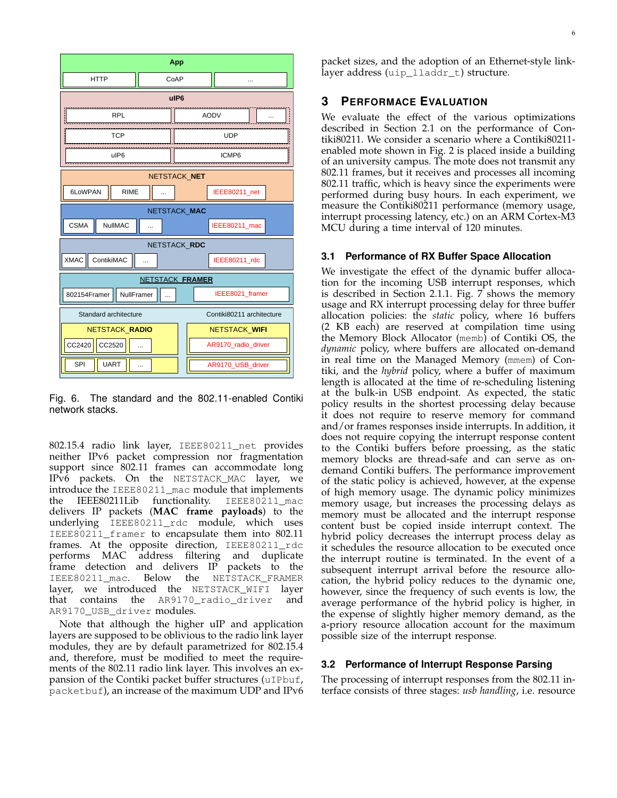

Fig. 6. The standard and the 802.11-enabled Contiki network stacks.

802.15.4 radio link layer, IEEE80211\_net provides neither IPv6 packet compression nor fragmentation support since 802.11 frames can accommodate long IPv6 packets. On the NETSTACK\_MAC layer, we introduce the IEEE80211\_mac module that implements the IEEE80211Lib functionality. IEEE80211\_mac delivers IP packets (**MAC frame payloads**) to the underlying IEEE80211\_rdc module, which uses IEEE80211\_framer to encapsulate them into 802.11 frames. At the opposite direction, IEEE80211\_rdc performs MAC address filtering and duplicate frame detection and delivers IP packets to the IEEE80211 mac. Below the NETSTACK FRAMER layer, we introduced the NETSTACK\_WIFI layer that contains the AR9170\_radio\_driver and AR9170 USB driver modules.

Note that although the higher uIP and application layers are supposed to be oblivious to the radio link layer modules, they are by default parametrized for 802.15.4 and, therefore, must be modified to meet the requirements of the 802.11 radio link layer. This involves an expansion of the Contiki packet buffer structures (uIPbuf, packetbuf), an increase of the maximum UDP and IPv6

packet sizes, and the adoption of an Ethernet-style linklayer address (uip\_lladdr\_t) structure.

## **3 PERFORMACE EVALUATION**

We evaluate the effect of the various optimizations described in Section 2.1 on the performance of Contiki80211. We consider a scenario where a Contiki80211 enabled mote shown in Fig. 2 is placed inside a building of an university campus. The mote does not transmit any 802.11 frames, but it receives and processes all incoming 802.11 traffic, which is heavy since the experiments were performed during busy hours. In each experiment, we measure the Contiki80211 performance (memory usage, interrupt processing latency, etc.) on an ARM Cortex-M3 MCU during a time interval of 120 minutes.

#### **3.1 Performance of RX Buffer Space Allocation**

We investigate the effect of the dynamic buffer allocation for the incoming USB interrupt responses, which is described in Section 2.1.1. Fig. 7 shows the memory usage and RX interrupt processing delay for three buffer allocation policies: the *static* policy, where 16 buffers (2 KB each) are reserved at compilation time using the Memory Block Allocator (memb) of Contiki OS, the *dynamic* policy, where buffers are allocated on-demand in real time on the Managed Memory (mmem) of Contiki, and the *hybrid* policy, where a buffer of maximum length is allocated at the time of re-scheduling listening at the bulk-in USB endpoint. As expected, the static policy results in the shortest processing delay because it does not require to reserve memory for command and/or frames responses inside interrupts. In addition, it does not require copying the interrupt response content to the Contiki buffers before proessing, as the static memory blocks are thread-safe and can serve as ondemand Contiki buffers. The performance improvement of the static policy is achieved, however, at the expense of high memory usage. The dynamic policy minimizes memory usage, but increases the processing delays as memory must be allocated and the interrupt response content bust be copied inside interrupt context. The hybrid policy decreases the interrupt process delay as it schedules the resource allocation to be executed once the interrupt routine is terminated. In the event of a subsequent interrupt arrival before the resource allocation, the hybrid policy reduces to the dynamic one, however, since the frequency of such events is low, the average performance of the hybrid policy is higher, in the expense of slightly higher memory demand, as the a-priory resource allocation account for the maximum possible size of the interrupt response.

#### **3.2 Performance of Interrupt Response Parsing**

The processing of interrupt responses from the 802.11 interface consists of three stages: *usb handling*, i.e. resource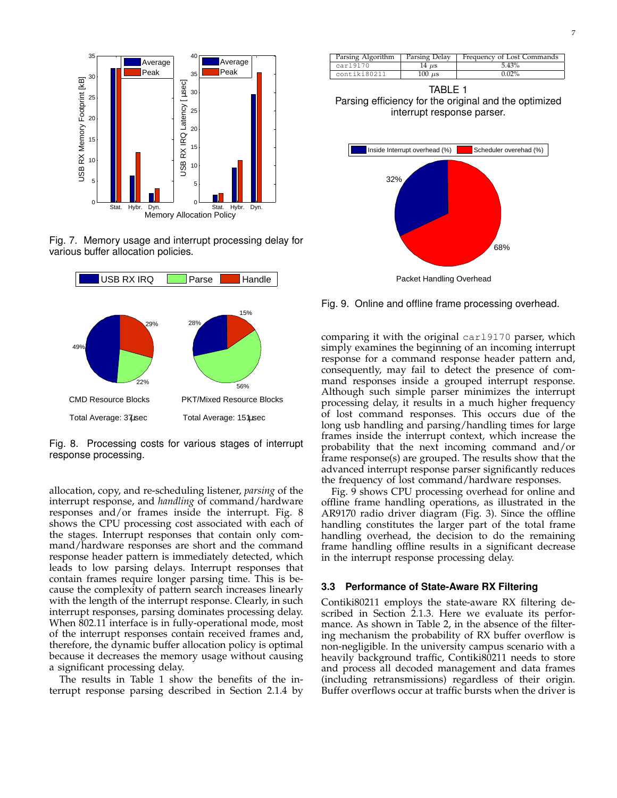

Fig. 7. Memory usage and interrupt processing delay for various buffer allocation policies.



Fig. 8. Processing costs for various stages of interrupt response processing.

allocation, copy, and re-scheduling listener, *parsing* of the interrupt response, and *handling* of command/hardware responses and/or frames inside the interrupt. Fig. 8 shows the CPU processing cost associated with each of the stages. Interrupt responses that contain only command/hardware responses are short and the command response header pattern is immediately detected, which leads to low parsing delays. Interrupt responses that contain frames require longer parsing time. This is because the complexity of pattern search increases linearly with the length of the interrupt response. Clearly, in such interrupt responses, parsing dominates processing delay. When 802.11 interface is in fully-operational mode, most of the interrupt responses contain received frames and, therefore, the dynamic buffer allocation policy is optimal because it decreases the memory usage without causing a significant processing delay.

The results in Table 1 show the benefits of the interrupt response parsing described in Section 2.1.4 by

| Parsing Algorithm | Parsing Delay | Frequency of Lost Commands |
|-------------------|---------------|----------------------------|
| car19170          | 14 µs         | 5.43%                      |
| contiki80211      | $100 \mu s$   | $0.02\%$                   |

TABLE 1 Parsing efficiency for the original and the optimized interrupt response parser.



Fig. 9. Online and offline frame processing overhead.

comparing it with the original carl9170 parser, which simply examines the beginning of an incoming interrupt response for a command response header pattern and, consequently, may fail to detect the presence of command responses inside a grouped interrupt response. Although such simple parser minimizes the interrupt processing delay, it results in a much higher frequency of lost command responses. This occurs due of the long usb handling and parsing/handling times for large frames inside the interrupt context, which increase the probability that the next incoming command and/or frame response(s) are grouped. The results show that the advanced interrupt response parser significantly reduces the frequency of lost command/hardware responses.

Fig. 9 shows CPU processing overhead for online and offline frame handling operations, as illustrated in the AR9170 radio driver diagram (Fig. 3). Since the offline handling constitutes the larger part of the total frame handling overhead, the decision to do the remaining frame handling offline results in a significant decrease in the interrupt response processing delay.

#### **3.3 Performance of State-Aware RX Filtering**

Contiki80211 employs the state-aware RX filtering described in Section 2.1.3. Here we evaluate its performance. As shown in Table 2, in the absence of the filtering mechanism the probability of RX buffer overflow is non-negligible. In the university campus scenario with a heavily background traffic, Contiki80211 needs to store and process all decoded management and data frames (including retransmissions) regardless of their origin. Buffer overflows occur at traffic bursts when the driver is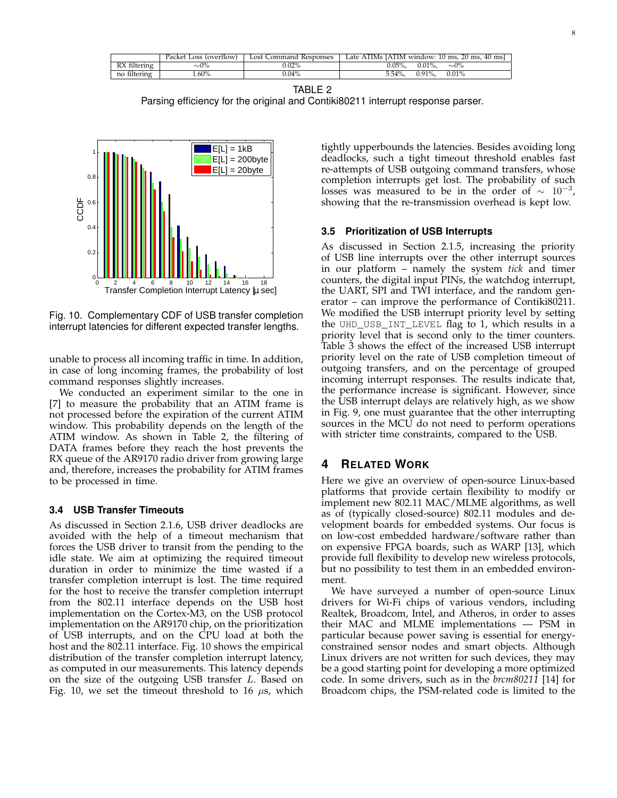|              | Packet Loss (overflow) | Lost Command Responses | Late ATIMs [ATIM window: 10 ms, 20 ms, 40 ms] |
|--------------|------------------------|------------------------|-----------------------------------------------|
| RX filtering | $\sim\!\!0\%$          | $0.02\%$               | $0.05\%$ .<br>$0.01\%$ .<br>$\sim 0\%$        |
| no filtering | .60%                   | $0.04\%$               | $0.01\%$<br>$0.91\%$ .<br>5.54%.              |

TABLE 2

Parsing efficiency for the original and Contiki80211 interrupt response parser.



Fig. 10. Complementary CDF of USB transfer completion interrupt latencies for different expected transfer lengths.

unable to process all incoming traffic in time. In addition, in case of long incoming frames, the probability of lost command responses slightly increases.

We conducted an experiment similar to the one in [7] to measure the probability that an ATIM frame is not processed before the expiration of the current ATIM window. This probability depends on the length of the ATIM window. As shown in Table 2, the filtering of DATA frames before they reach the host prevents the RX queue of the AR9170 radio driver from growing large and, therefore, increases the probability for ATIM frames to be processed in time.

#### **3.4 USB Transfer Timeouts**

As discussed in Section 2.1.6, USB driver deadlocks are avoided with the help of a timeout mechanism that forces the USB driver to transit from the pending to the idle state. We aim at optimizing the required timeout duration in order to minimize the time wasted if a transfer completion interrupt is lost. The time required for the host to receive the transfer completion interrupt from the 802.11 interface depends on the USB host implementation on the Cortex-M3, on the USB protocol implementation on the AR9170 chip, on the prioritization of USB interrupts, and on the CPU load at both the host and the 802.11 interface. Fig. 10 shows the empirical distribution of the transfer completion interrupt latency, as computed in our measurements. This latency depends on the size of the outgoing USB transfer L. Based on Fig. 10, we set the timeout threshold to 16  $\mu$ s, which tightly upperbounds the latencies. Besides avoiding long deadlocks, such a tight timeout threshold enables fast re-attempts of USB outgoing command transfers, whose completion interrupts get lost. The probability of such losses was measured to be in the order of  $\sim 10^{-3}$ , showing that the re-transmission overhead is kept low.

### **3.5 Prioritization of USB Interrupts**

As discussed in Section 2.1.5, increasing the priority of USB line interrupts over the other interrupt sources in our platform – namely the system *tick* and timer counters, the digital input PINs, the watchdog interrupt, the UART, SPI and TWI interface, and the random generator – can improve the performance of Contiki80211. We modified the USB interrupt priority level by setting the UHD\_USB\_INT\_LEVEL flag to 1, which results in a priority level that is second only to the timer counters. Table 3 shows the effect of the increased USB interrupt priority level on the rate of USB completion timeout of outgoing transfers, and on the percentage of grouped incoming interrupt responses. The results indicate that, the performance increase is significant. However, since the USB interrupt delays are relatively high, as we show in Fig. 9, one must guarantee that the other interrupting sources in the MCU do not need to perform operations with stricter time constraints, compared to the USB.

## **4 RELATED WORK**

Here we give an overview of open-source Linux-based platforms that provide certain flexibility to modify or implement new 802.11 MAC/MLME algorithms, as well as of (typically closed-source) 802.11 modules and development boards for embedded systems. Our focus is on low-cost embedded hardware/software rather than on expensive FPGA boards, such as WARP [13], which provide full flexibility to develop new wireless protocols, but no possibility to test them in an embedded environment.

We have surveyed a number of open-source Linux drivers for Wi-Fi chips of various vendors, including Realtek, Broadcom, Intel, and Atheros, in order to asses their MAC and MLME implementations — PSM in particular because power saving is essential for energyconstrained sensor nodes and smart objects. Although Linux drivers are not written for such devices, they may be a good starting point for developing a more optimized code. In some drivers, such as in the *brcm80211* [14] for Broadcom chips, the PSM-related code is limited to the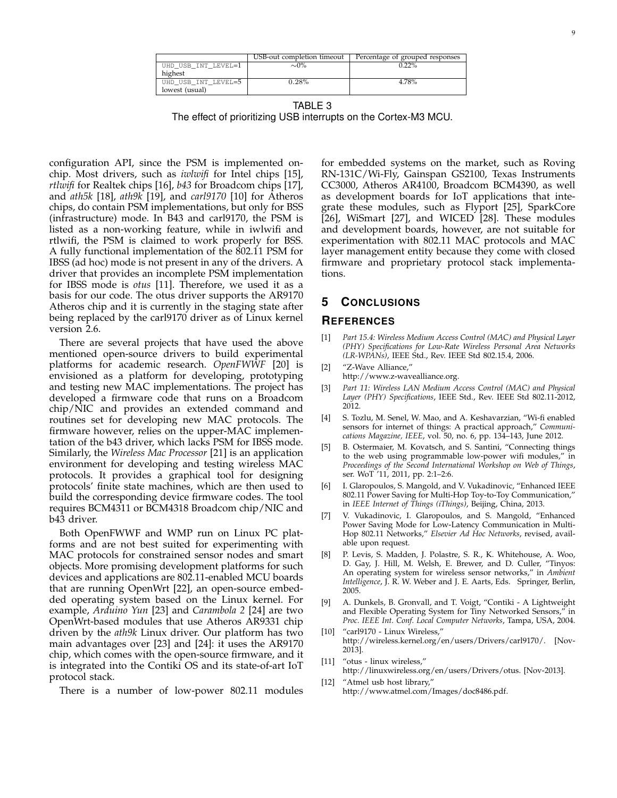|                     | USB-out completion timeout | Percentage of grouped responses |
|---------------------|----------------------------|---------------------------------|
| UHD USB INT LEVEL=1 | $\sim 0\%$                 | $22\%$                          |
| highest             |                            |                                 |
| UHD USB INT LEVEL=5 | 0.28%                      | 4.78%                           |
| lowest (usual)      |                            |                                 |

TABLE 3 The effect of prioritizing USB interrupts on the Cortex-M3 MCU.

configuration API, since the PSM is implemented onchip. Most drivers, such as *iwlwifi* for Intel chips [15], *rtlwifi* for Realtek chips [16], *b43* for Broadcom chips [17], and *ath5k* [18], *ath9k* [19], and *carl9170* [10] for Atheros chips, do contain PSM implementations, but only for BSS (infrastructure) mode. In B43 and carl9170, the PSM is listed as a non-working feature, while in iwlwifi and rtlwifi, the PSM is claimed to work properly for BSS. A fully functional implementation of the 802.11 PSM for IBSS (ad hoc) mode is not present in any of the drivers. A driver that provides an incomplete PSM implementation for IBSS mode is *otus* [11]. Therefore, we used it as a basis for our code. The otus driver supports the AR9170 Atheros chip and it is currently in the staging state after being replaced by the carl9170 driver as of Linux kernel version 2.6.

There are several projects that have used the above mentioned open-source drivers to build experimental platforms for academic research. *OpenFWWF* [20] is envisioned as a platform for developing, prototyping and testing new MAC implementations. The project has developed a firmware code that runs on a Broadcom chip/NIC and provides an extended command and routines set for developing new MAC protocols. The firmware however, relies on the upper-MAC implementation of the b43 driver, which lacks PSM for IBSS mode. Similarly, the *Wireless Mac Processor* [21] is an application environment for developing and testing wireless MAC protocols. It provides a graphical tool for designing protocols' finite state machines, which are then used to build the corresponding device firmware codes. The tool requires BCM4311 or BCM4318 Broadcom chip/NIC and b43 driver.

Both OpenFWWF and WMP run on Linux PC platforms and are not best suited for experimenting with MAC protocols for constrained sensor nodes and smart objects. More promising development platforms for such devices and applications are 802.11-enabled MCU boards that are running OpenWrt [22], an open-source embedded operating system based on the Linux kernel. For example, *Arduino Yun* [23] and *Carambola 2* [24] are two OpenWrt-based modules that use Atheros AR9331 chip driven by the *ath9k* Linux driver. Our platform has two main advantages over [23] and [24]: it uses the AR9170 chip, which comes with the open-source firmware, and it is integrated into the Contiki OS and its state-of-art IoT protocol stack.

There is a number of low-power 802.11 modules

for embedded systems on the market, such as Roving RN-131C/Wi-Fly, Gainspan GS2100, Texas Instruments CC3000, Atheros AR4100, Broadcom BCM4390, as well as development boards for IoT applications that integrate these modules, such as Flyport [25], SparkCore [26], WiSmart [27], and WICED [28]. These modules and development boards, however, are not suitable for experimentation with 802.11 MAC protocols and MAC layer management entity because they come with closed firmware and proprietary protocol stack implementations.

# **5 CONCLUSIONS**

## **REFERENCES**

- [1] *Part 15.4: Wireless Medium Access Control (MAC) and Physical Layer (PHY) Specifications for Low-Rate Wireless Personal Area Networks (LR-WPANs)*, IEEE Std., Rev. IEEE Std 802.15.4, 2006.
- [2] "Z-Wave Alliance," http://www.z-wavealliance.org.
- [3] *Part 11: Wireless LAN Medium Access Control (MAC) and Physical Layer (PHY) Specifications*, IEEE Std., Rev. IEEE Std 802.11-2012, 2012.
- [4] S. Tozlu, M. Senel, W. Mao, and A. Keshavarzian, "Wi-fi enabled sensors for internet of things: A practical approach," *Communications Magazine, IEEE*, vol. 50, no. 6, pp. 134–143, June 2012.
- [5] B. Ostermaier, M. Kovatsch, and S. Santini, "Connecting things to the web using programmable low-power wifi modules," in *Proceedings of the Second International Workshop on Web of Things*, ser. WoT '11, 2011, pp. 2:1–2:6.
- [6] I. Glaropoulos, S. Mangold, and V. Vukadinovic, "Enhanced IEEE 802.11 Power Saving for Multi-Hop Toy-to-Toy Communication," in *IEEE Internet of Things (iThings)*, Beijing, China, 2013.
- [7] V. Vukadinovic, I. Glaropoulos, and S. Mangold, "Enhanced Power Saving Mode for Low-Latency Communication in Multi-Hop 802.11 Networks," *Elsevier Ad Hoc Networks*, revised, available upon request.
- [8] P. Levis, S. Madden, J. Polastre, S. R., K. Whitehouse, A. Woo, D. Gay, J. Hill, M. Welsh, E. Brewer, and D. Culler, "Tinyos: An operating system for wireless sensor networks," in *Ambient Intelligence*, J. R. W. Weber and J. E. Aarts, Eds. Springer, Berlin, 2005.
- [9] A. Dunkels, B. Gronvall, and T. Voigt, "Contiki A Lightweight and Flexible Operating System for Tiny Networked Sensors, *Proc. IEEE Int. Conf. Local Computer Networks*, Tampa, USA, 2004.
- [10] "carl9170 Linux Wireless," http://wireless.kernel.org/en/users/Drivers/carl9170/. [Nov-2013].
- [11] "otus linux wireless,"
- http://linuxwireless.org/en/users/Drivers/otus. [Nov-2013]. [12] "Atmel usb host library,"
	- http://www.atmel.com/Images/doc8486.pdf.